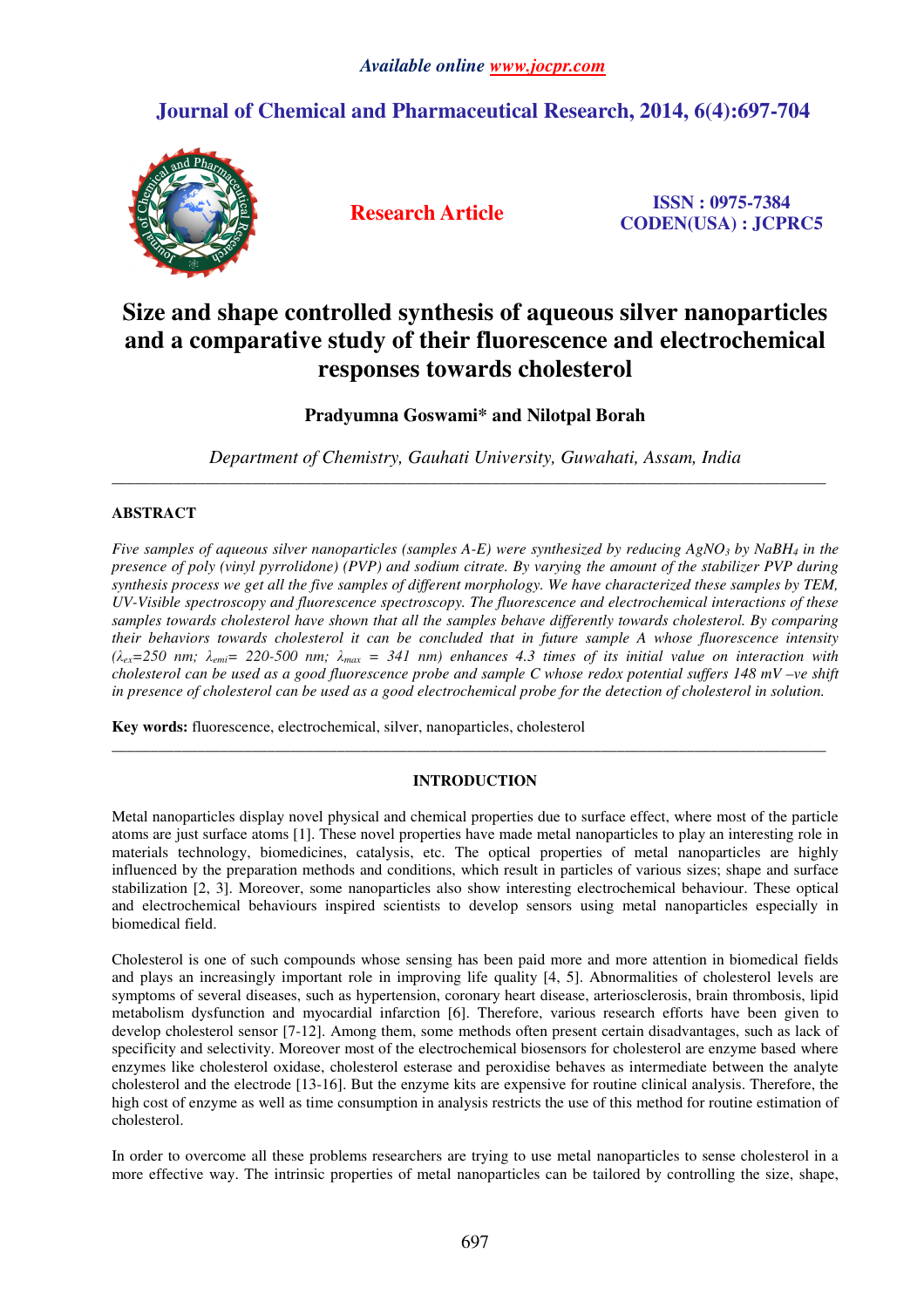## **Journal of Chemical and Pharmaceutical Research, 2014, 6(4):697-704**



**Research Article ISSN : 0975-7384 CODEN(USA) : JCPRC5**

# **Size and shape controlled synthesis of aqueous silver nanoparticles and a comparative study of their fluorescence and electrochemical responses towards cholesterol**

## **Pradyumna Goswami\* and Nilotpal Borah**

*Department of Chemistry, Gauhati University, Guwahati, Assam, India*  \_\_\_\_\_\_\_\_\_\_\_\_\_\_\_\_\_\_\_\_\_\_\_\_\_\_\_\_\_\_\_\_\_\_\_\_\_\_\_\_\_\_\_\_\_\_\_\_\_\_\_\_\_\_\_\_\_\_\_\_\_\_\_\_\_\_\_\_\_\_\_\_\_\_\_\_\_\_\_\_\_\_\_\_\_\_\_\_\_\_\_\_

### **ABSTRACT**

*Five samples of aqueous silver nanoparticles (samples A-E) were synthesized by reducing AgNO3 by NaBH4 in the presence of poly (vinyl pyrrolidone) (PVP) and sodium citrate. By varying the amount of the stabilizer PVP during synthesis process we get all the five samples of different morphology. We have characterized these samples by TEM, UV-Visible spectroscopy and fluorescence spectroscopy. The fluorescence and electrochemical interactions of these samples towards cholesterol have shown that all the samples behave differently towards cholesterol. By comparing their behaviors towards cholesterol it can be concluded that in future sample A whose fluorescence intensity (*λ*ex=250 nm;* λ*emi= 220-500 nm;* λ*max = 341 nm) enhances 4.3 times of its initial value on interaction with cholesterol can be used as a good fluorescence probe and sample C whose redox potential suffers 148 mV –ve shift in presence of cholesterol can be used as a good electrochemical probe for the detection of cholesterol in solution.* 

**Key words:** fluorescence, electrochemical, silver, nanoparticles, cholesterol

### **INTRODUCTION**

\_\_\_\_\_\_\_\_\_\_\_\_\_\_\_\_\_\_\_\_\_\_\_\_\_\_\_\_\_\_\_\_\_\_\_\_\_\_\_\_\_\_\_\_\_\_\_\_\_\_\_\_\_\_\_\_\_\_\_\_\_\_\_\_\_\_\_\_\_\_\_\_\_\_\_\_\_\_\_\_\_\_\_\_\_\_\_\_\_\_\_\_

Metal nanoparticles display novel physical and chemical properties due to surface effect, where most of the particle atoms are just surface atoms [1]. These novel properties have made metal nanoparticles to play an interesting role in materials technology, biomedicines, catalysis, etc. The optical properties of metal nanoparticles are highly influenced by the preparation methods and conditions, which result in particles of various sizes; shape and surface stabilization [2, 3]. Moreover, some nanoparticles also show interesting electrochemical behaviour. These optical and electrochemical behaviours inspired scientists to develop sensors using metal nanoparticles especially in biomedical field.

Cholesterol is one of such compounds whose sensing has been paid more and more attention in biomedical fields and plays an increasingly important role in improving life quality [4, 5]. Abnormalities of cholesterol levels are symptoms of several diseases, such as hypertension, coronary heart disease, arteriosclerosis, brain thrombosis, lipid metabolism dysfunction and myocardial infarction [6]. Therefore, various research efforts have been given to develop cholesterol sensor [7-12]. Among them, some methods often present certain disadvantages, such as lack of specificity and selectivity. Moreover most of the electrochemical biosensors for cholesterol are enzyme based where enzymes like cholesterol oxidase, cholesterol esterase and peroxidise behaves as intermediate between the analyte cholesterol and the electrode [13-16]. But the enzyme kits are expensive for routine clinical analysis. Therefore, the high cost of enzyme as well as time consumption in analysis restricts the use of this method for routine estimation of cholesterol.

In order to overcome all these problems researchers are trying to use metal nanoparticles to sense cholesterol in a more effective way. The intrinsic properties of metal nanoparticles can be tailored by controlling the size, shape,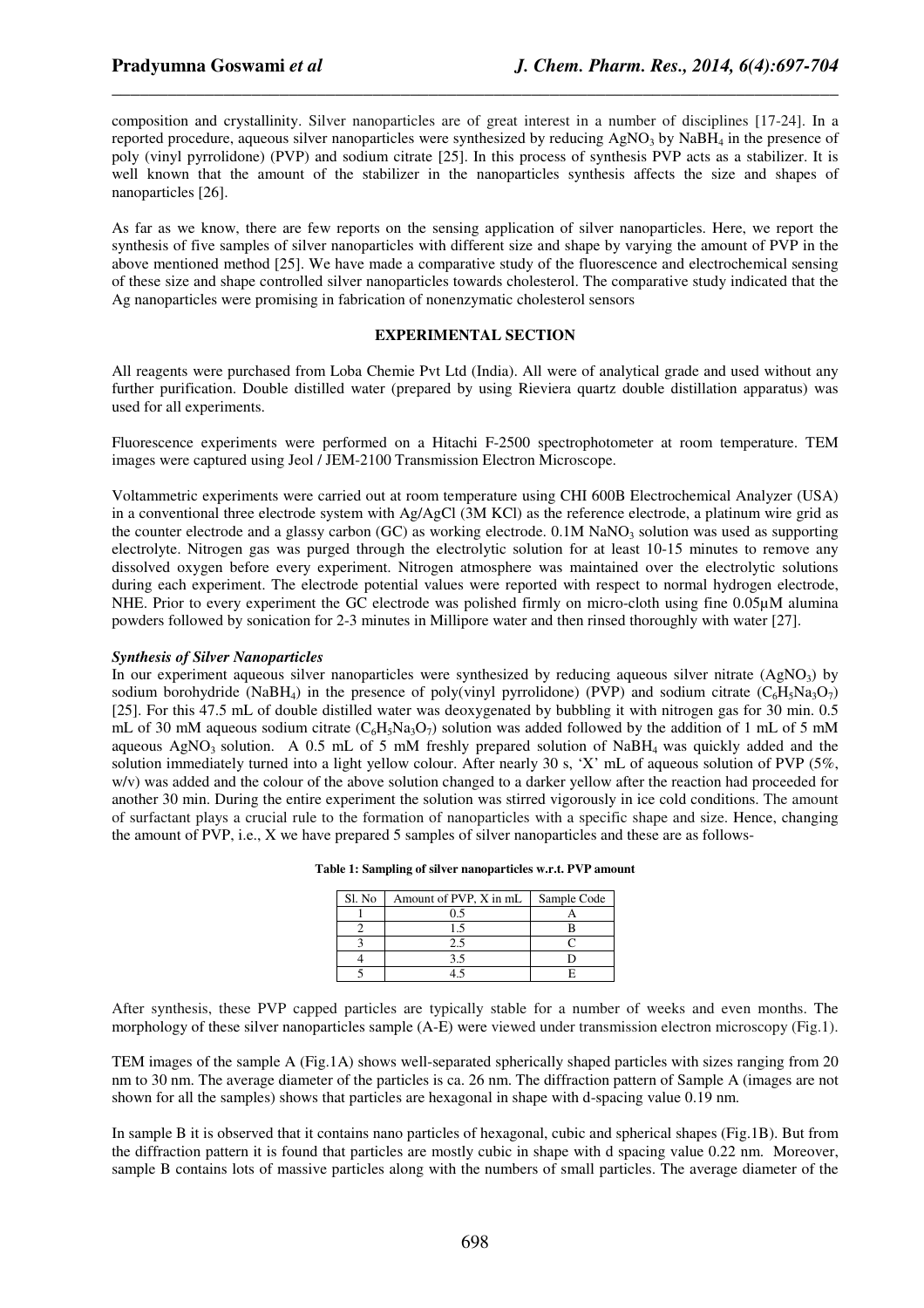composition and crystallinity. Silver nanoparticles are of great interest in a number of disciplines [17-24]. In a reported procedure, aqueous silver nanoparticles were synthesized by reducing  $AgNO<sub>3</sub>$  by NaBH<sub>4</sub> in the presence of poly (vinyl pyrrolidone) (PVP) and sodium citrate [25]. In this process of synthesis PVP acts as a stabilizer. It is well known that the amount of the stabilizer in the nanoparticles synthesis affects the size and shapes of nanoparticles [26].

*\_\_\_\_\_\_\_\_\_\_\_\_\_\_\_\_\_\_\_\_\_\_\_\_\_\_\_\_\_\_\_\_\_\_\_\_\_\_\_\_\_\_\_\_\_\_\_\_\_\_\_\_\_\_\_\_\_\_\_\_\_\_\_\_\_\_\_\_\_\_\_\_\_\_\_\_\_\_*

As far as we know, there are few reports on the sensing application of silver nanoparticles. Here, we report the synthesis of five samples of silver nanoparticles with different size and shape by varying the amount of PVP in the above mentioned method [25]. We have made a comparative study of the fluorescence and electrochemical sensing of these size and shape controlled silver nanoparticles towards cholesterol. The comparative study indicated that the Ag nanoparticles were promising in fabrication of nonenzymatic cholesterol sensors

#### **EXPERIMENTAL SECTION**

All reagents were purchased from Loba Chemie Pvt Ltd (India). All were of analytical grade and used without any further purification. Double distilled water (prepared by using Rieviera quartz double distillation apparatus) was used for all experiments.

Fluorescence experiments were performed on a Hitachi F-2500 spectrophotometer at room temperature. TEM images were captured using Jeol / JEM-2100 Transmission Electron Microscope.

Voltammetric experiments were carried out at room temperature using CHI 600B Electrochemical Analyzer (USA) in a conventional three electrode system with Ag/AgCl (3M KCl) as the reference electrode, a platinum wire grid as the counter electrode and a glassy carbon (GC) as working electrode.  $0.1M$  NaNO<sub>3</sub> solution was used as supporting electrolyte. Nitrogen gas was purged through the electrolytic solution for at least 10-15 minutes to remove any dissolved oxygen before every experiment. Nitrogen atmosphere was maintained over the electrolytic solutions during each experiment. The electrode potential values were reported with respect to normal hydrogen electrode, NHE. Prior to every experiment the GC electrode was polished firmly on micro-cloth using fine 0.05µM alumina powders followed by sonication for 2-3 minutes in Millipore water and then rinsed thoroughly with water [27].

#### *Synthesis of Silver Nanoparticles*

In our experiment aqueous silver nanoparticles were synthesized by reducing aqueous silver nitrate  $(AgNO<sub>3</sub>)$  by sodium borohydride (NaBH<sub>4</sub>) in the presence of poly(vinyl pyrrolidone) (PVP) and sodium citrate ( $C_6H_5Na_3O_7$ ) [25]. For this 47.5 mL of double distilled water was deoxygenated by bubbling it with nitrogen gas for 30 min. 0.5 mL of 30 mM aqueous sodium citrate  $(C<sub>6</sub>H<sub>5</sub>Na<sub>3</sub>O<sub>7</sub>)$  solution was added followed by the addition of 1 mL of 5 mM aqueous AgNO<sub>3</sub> solution. A 0.5 mL of 5 mM freshly prepared solution of NaBH<sub>4</sub> was quickly added and the solution immediately turned into a light yellow colour. After nearly 30 s, 'X' mL of aqueous solution of PVP (5%, w/v) was added and the colour of the above solution changed to a darker yellow after the reaction had proceeded for another 30 min. During the entire experiment the solution was stirred vigorously in ice cold conditions. The amount of surfactant plays a crucial rule to the formation of nanoparticles with a specific shape and size. Hence, changing the amount of PVP, i.e., X we have prepared 5 samples of silver nanoparticles and these are as follows-

**Table 1: Sampling of silver nanoparticles w.r.t. PVP amount** 

| Sl. No | Amount of PVP, X in mL | Sample Code |
|--------|------------------------|-------------|
|        |                        |             |
|        |                        |             |
|        |                        |             |
|        |                        |             |
|        |                        |             |

After synthesis, these PVP capped particles are typically stable for a number of weeks and even months. The morphology of these silver nanoparticles sample (A-E) were viewed under transmission electron microscopy (Fig.1).

TEM images of the sample A (Fig.1A) shows well-separated spherically shaped particles with sizes ranging from 20 nm to 30 nm. The average diameter of the particles is ca. 26 nm. The diffraction pattern of Sample A (images are not shown for all the samples) shows that particles are hexagonal in shape with d-spacing value 0.19 nm.

In sample B it is observed that it contains nano particles of hexagonal, cubic and spherical shapes (Fig.1B). But from the diffraction pattern it is found that particles are mostly cubic in shape with d spacing value 0.22 nm. Moreover, sample B contains lots of massive particles along with the numbers of small particles. The average diameter of the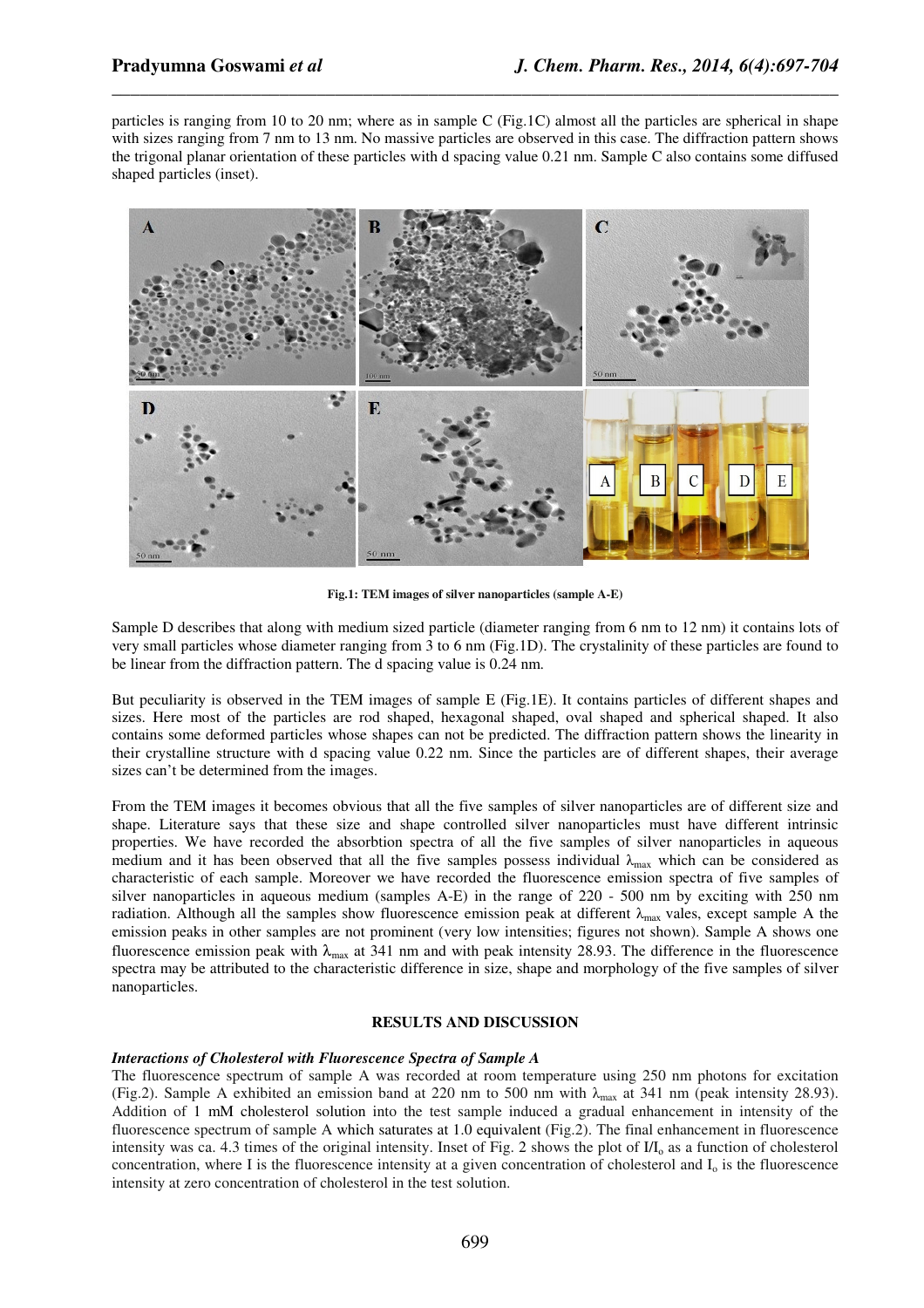particles is ranging from 10 to 20 nm; where as in sample C (Fig.1C) almost all the particles are spherical in shape with sizes ranging from 7 nm to 13 nm. No massive particles are observed in this case. The diffraction pattern shows the trigonal planar orientation of these particles with d spacing value 0.21 nm. Sample C also contains some diffused shaped particles (inset).

*\_\_\_\_\_\_\_\_\_\_\_\_\_\_\_\_\_\_\_\_\_\_\_\_\_\_\_\_\_\_\_\_\_\_\_\_\_\_\_\_\_\_\_\_\_\_\_\_\_\_\_\_\_\_\_\_\_\_\_\_\_\_\_\_\_\_\_\_\_\_\_\_\_\_\_\_\_\_*



**Fig.1: TEM images of silver nanoparticles (sample A-E)** 

Sample D describes that along with medium sized particle (diameter ranging from 6 nm to 12 nm) it contains lots of very small particles whose diameter ranging from 3 to 6 nm (Fig.1D). The crystalinity of these particles are found to be linear from the diffraction pattern. The d spacing value is 0.24 nm.

But peculiarity is observed in the TEM images of sample E (Fig.1E). It contains particles of different shapes and sizes. Here most of the particles are rod shaped, hexagonal shaped, oval shaped and spherical shaped. It also contains some deformed particles whose shapes can not be predicted. The diffraction pattern shows the linearity in their crystalline structure with d spacing value 0.22 nm. Since the particles are of different shapes, their average sizes can't be determined from the images.

From the TEM images it becomes obvious that all the five samples of silver nanoparticles are of different size and shape. Literature says that these size and shape controlled silver nanoparticles must have different intrinsic properties. We have recorded the absorbtion spectra of all the five samples of silver nanoparticles in aqueous medium and it has been observed that all the five samples possess individual  $\lambda_{\text{max}}$  which can be considered as characteristic of each sample. Moreover we have recorded the fluorescence emission spectra of five samples of silver nanoparticles in aqueous medium (samples A-E) in the range of 220 - 500 nm by exciting with 250 nm radiation. Although all the samples show fluorescence emission peak at different  $\lambda_{\text{max}}$  vales, except sample A the emission peaks in other samples are not prominent (very low intensities; figures not shown). Sample A shows one fluorescence emission peak with  $\lambda_{\text{max}}$  at 341 nm and with peak intensity 28.93. The difference in the fluorescence spectra may be attributed to the characteristic difference in size, shape and morphology of the five samples of silver nanoparticles.

#### **RESULTS AND DISCUSSION**

#### *Interactions of Cholesterol with Fluorescence Spectra of Sample A*

The fluorescence spectrum of sample A was recorded at room temperature using 250 nm photons for excitation (Fig.2). Sample A exhibited an emission band at 220 nm to 500 nm with  $\lambda_{\text{max}}$  at 341 nm (peak intensity 28.93). Addition of 1 mM cholesterol solution into the test sample induced a gradual enhancement in intensity of the fluorescence spectrum of sample A which saturates at 1.0 equivalent (Fig.2). The final enhancement in fluorescence intensity was ca. 4.3 times of the original intensity. Inset of Fig. 2 shows the plot of  $I/I_0$  as a function of cholesterol concentration, where I is the fluorescence intensity at a given concentration of cholesterol and  $I_0$  is the fluorescence intensity at zero concentration of cholesterol in the test solution.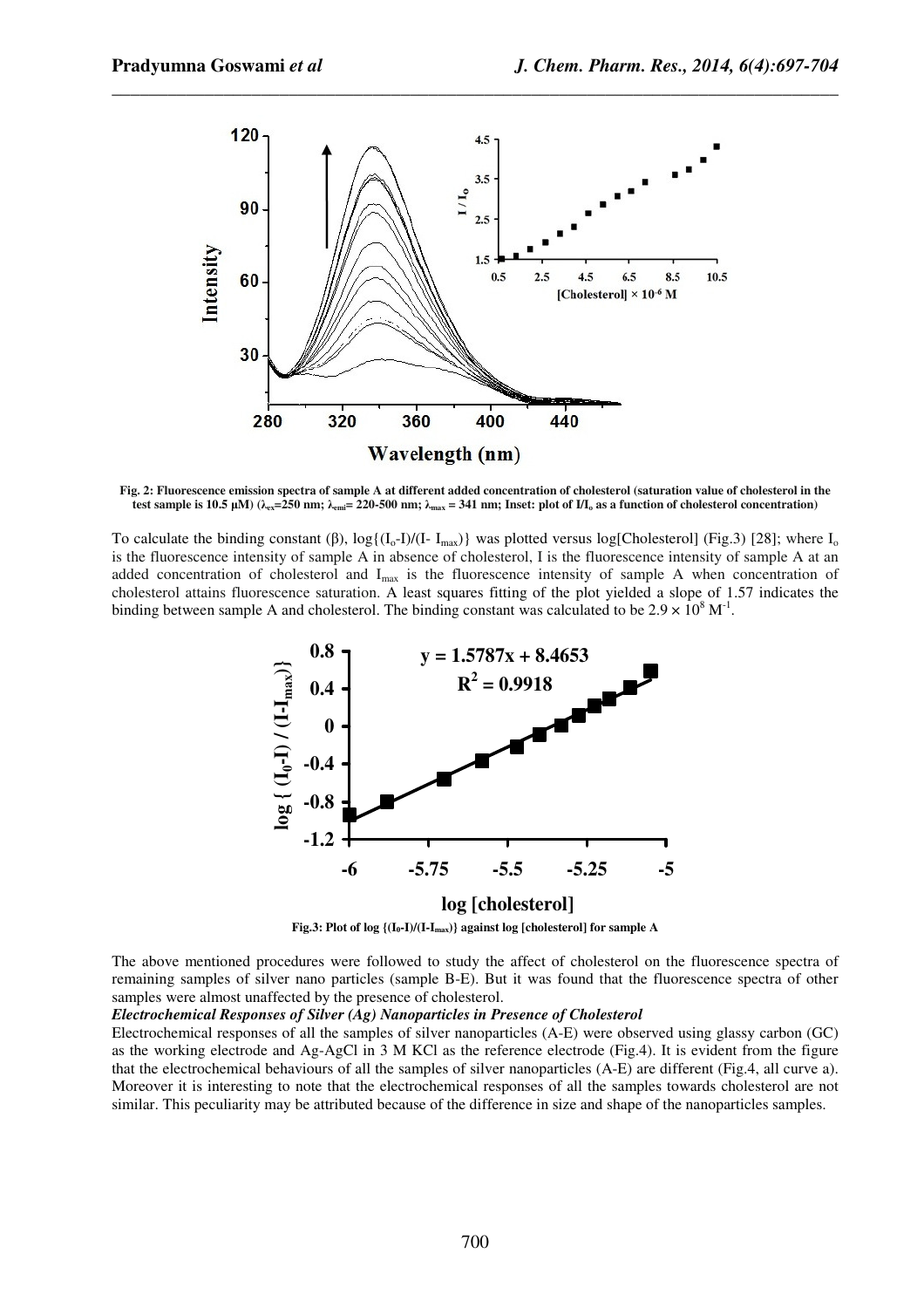

*\_\_\_\_\_\_\_\_\_\_\_\_\_\_\_\_\_\_\_\_\_\_\_\_\_\_\_\_\_\_\_\_\_\_\_\_\_\_\_\_\_\_\_\_\_\_\_\_\_\_\_\_\_\_\_\_\_\_\_\_\_\_\_\_\_\_\_\_\_\_\_\_\_\_\_\_\_\_*

**Fig. 2: Fluorescence emission spectra of sample A at different added concentration of cholesterol (saturation value of cholesterol in the test sample is 10.5 μM)** ( $λ_{ex} = 250$  nm;  $λ_{emi} = 220$ -500 nm;  $λ_{max} = 341$  nm; Inset: plot of  $VI_0$  as a function of cholesterol concentration)

To calculate the binding constant (β),  $\log\{(I_0-I)/(I-I_{max})\}$  was plotted versus log[Cholesterol] (Fig.3) [28]; where I<sub>o</sub> is the fluorescence intensity of sample A in absence of cholesterol, I is the fluorescence intensity of sample A at an added concentration of cholesterol and  $I_{max}$  is the fluorescence intensity of sample A when concentration of cholesterol attains fluorescence saturation. A least squares fitting of the plot yielded a slope of 1.57 indicates the binding between sample A and cholesterol. The binding constant was calculated to be  $2.9 \times 10^8$  M<sup>-1</sup>.



**Fig.3: Plot of log {(I0-I)/(I-Imax)} against log [cholesterol] for sample A** 

The above mentioned procedures were followed to study the affect of cholesterol on the fluorescence spectra of remaining samples of silver nano particles (sample B-E). But it was found that the fluorescence spectra of other samples were almost unaffected by the presence of cholesterol.

#### *Electrochemical Responses of Silver (Ag) Nanoparticles in Presence of Cholesterol*

Electrochemical responses of all the samples of silver nanoparticles (A-E) were observed using glassy carbon (GC) as the working electrode and Ag-AgCl in 3 M KCl as the reference electrode (Fig.4). It is evident from the figure that the electrochemical behaviours of all the samples of silver nanoparticles (A-E) are different (Fig.4, all curve a). Moreover it is interesting to note that the electrochemical responses of all the samples towards cholesterol are not similar. This peculiarity may be attributed because of the difference in size and shape of the nanoparticles samples.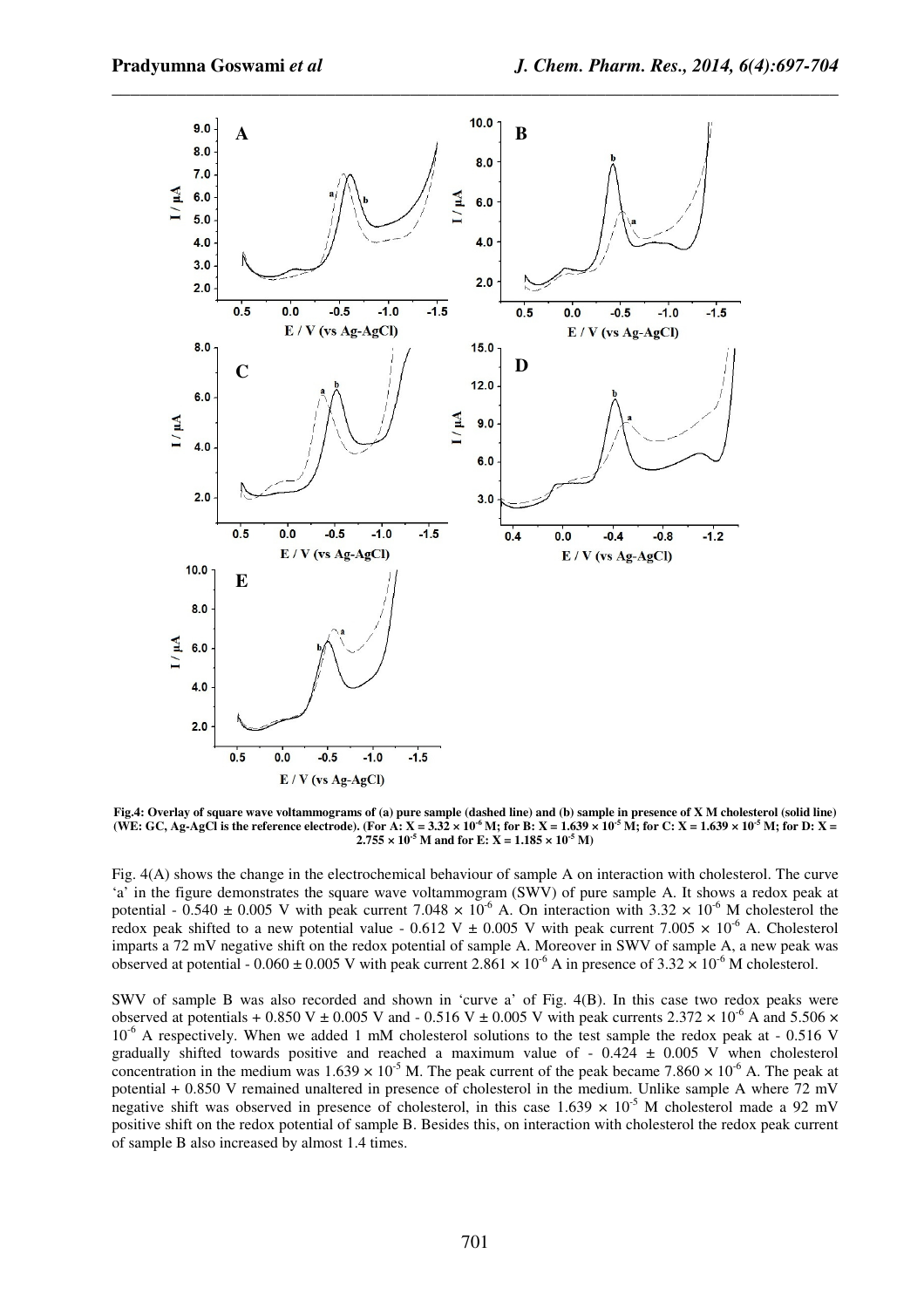

**Fig.4: Overlay of square wave voltammograms of (a) pure sample (dashed line) and (b) sample in presence of X M cholesterol (solid line)**  (WE: GC, Ag-AgCl is the reference electrode). (For A: X =  $3.32 \times 10^6$  M; for B: X =  $1.639 \times 10^5$  M; for C: X =  $1.639 \times 10^5$  M; for D: X =  $2.755 \times 10^{-5}$  M and for E:  $X = 1.185 \times 10^{-5}$  M)

Fig. 4(A) shows the change in the electrochemical behaviour of sample A on interaction with cholesterol. The curve 'a' in the figure demonstrates the square wave voltammogram (SWV) of pure sample A. It shows a redox peak at potential -  $0.540 \pm 0.005$  V with peak current 7.048  $\times$  10<sup>-6</sup> A. On interaction with 3.32  $\times$  10<sup>-6</sup> M cholesterol the redox peak shifted to a new potential value - 0.612 V  $\pm$  0.005 V with peak current 7.005  $\times$  10<sup>-6</sup> A. Cholesterol imparts a 72 mV negative shift on the redox potential of sample A. Moreover in SWV of sample A, a new peak was observed at potential - 0.060  $\pm$  0.005 V with peak current 2.861  $\times$  10<sup>-6</sup> A in presence of 3.32  $\times$  10<sup>-6</sup> M cholesterol.

SWV of sample B was also recorded and shown in 'curve a' of Fig. 4(B). In this case two redox peaks were observed at potentials + 0.850 V  $\pm$  0.005 V and - 0.516 V  $\pm$  0.005 V with peak currents 2.372  $\times$  10<sup>-6</sup> A and 5.506  $\times$  $10^{-6}$  A respectively. When we added 1 mM cholesterol solutions to the test sample the redox peak at - 0.516 V gradually shifted towards positive and reached a maximum value of  $-0.424 \pm 0.005$  V when cholesterol concentration in the medium was  $1.639 \times 10^{-5}$  M. The peak current of the peak became 7.860  $\times 10^{-6}$  A. The peak at potential + 0.850 V remained unaltered in presence of cholesterol in the medium. Unlike sample A where 72 mV negative shift was observed in presence of cholesterol, in this case  $1.639 \times 10^{-5}$  M cholesterol made a 92 mV positive shift on the redox potential of sample B. Besides this, on interaction with cholesterol the redox peak current of sample B also increased by almost 1.4 times.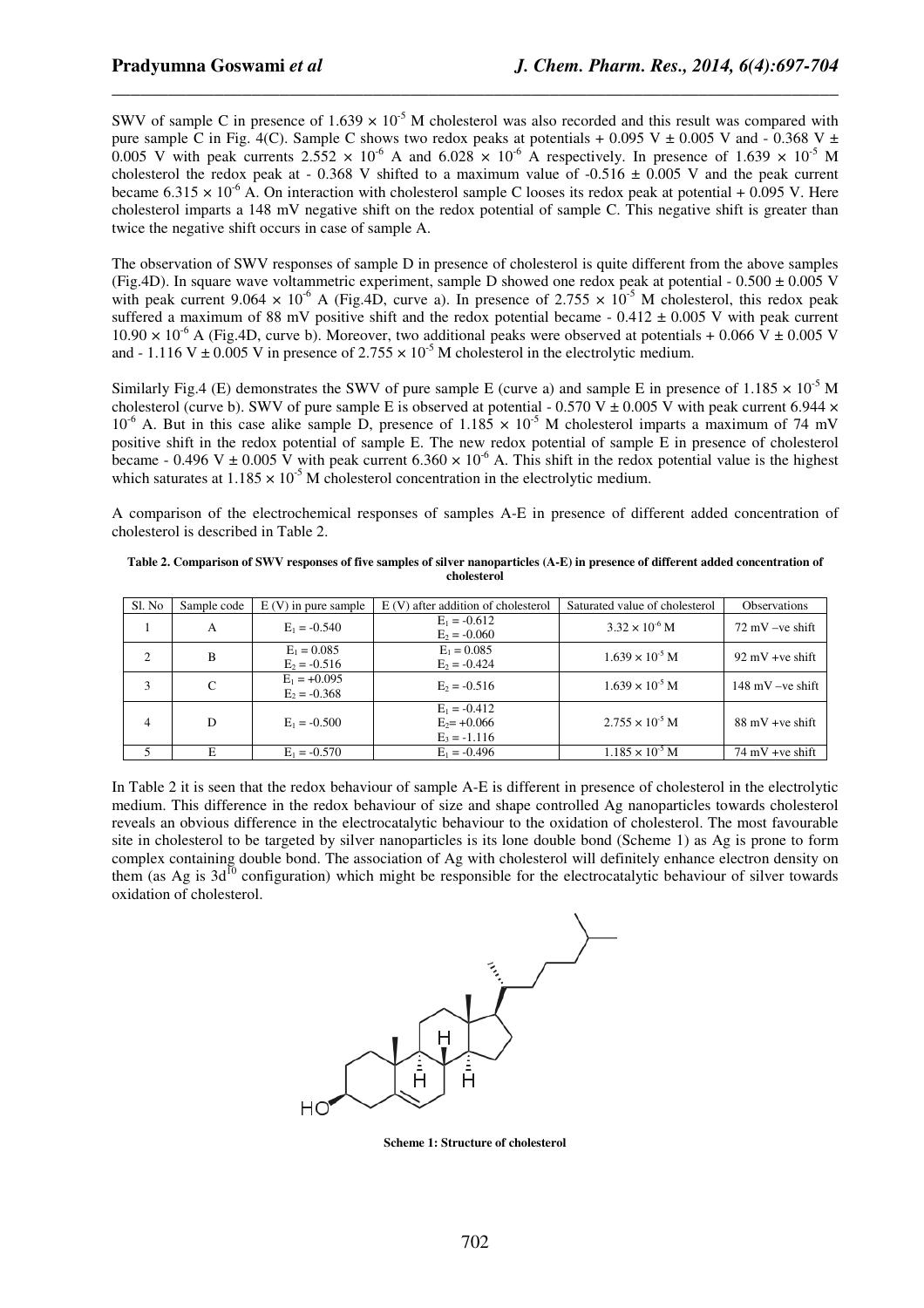SWV of sample C in presence of  $1.639 \times 10^{-5}$  M cholesterol was also recorded and this result was compared with pure sample C in Fig. 4(C). Sample C shows two redox peaks at potentials + 0.095 V  $\pm$  0.005 V and - 0.368 V  $\pm$ 0.005 V with peak currents  $2.552 \times 10^{-6}$  A and  $6.028 \times 10^{-6}$  A respectively. In presence of 1.639  $\times 10^{-5}$  M cholesterol the redox peak at - 0.368 V shifted to a maximum value of -0.516  $\pm$  0.005 V and the peak current became  $6.315 \times 10^{-6}$  A. On interaction with cholesterol sample C looses its redox peak at potential + 0.095 V. Here cholesterol imparts a 148 mV negative shift on the redox potential of sample C. This negative shift is greater than twice the negative shift occurs in case of sample A.

*\_\_\_\_\_\_\_\_\_\_\_\_\_\_\_\_\_\_\_\_\_\_\_\_\_\_\_\_\_\_\_\_\_\_\_\_\_\_\_\_\_\_\_\_\_\_\_\_\_\_\_\_\_\_\_\_\_\_\_\_\_\_\_\_\_\_\_\_\_\_\_\_\_\_\_\_\_\_*

The observation of SWV responses of sample D in presence of cholesterol is quite different from the above samples (Fig.4D). In square wave voltammetric experiment, sample D showed one redox peak at potential - 0.500  $\pm$  0.005 V with peak current 9.064  $\times$  10<sup>-6</sup> A (Fig.4D, curve a). In presence of 2.755  $\times$  10<sup>-5</sup> M cholesterol, this redox peak suffered a maximum of 88 mV positive shift and the redox potential became -  $0.412 \pm 0.005$  V with peak current  $10.90 \times 10^{-6}$  A (Fig.4D, curve b). Moreover, two additional peaks were observed at potentials + 0.066 V  $\pm$  0.005 V and - 1.116 V  $\pm$  0.005 V in presence of 2.755  $\times$  10<sup>-5</sup> M cholesterol in the electrolytic medium.

Similarly Fig.4 (E) demonstrates the SWV of pure sample E (curve a) and sample E in presence of 1.185  $\times$  10<sup>-5</sup> M cholesterol (curve b). SWV of pure sample E is observed at potential - 0.570 V  $\pm$  0.005 V with peak current 6.944  $\times$  $10^{-6}$  A. But in this case alike sample D, presence of  $1.185 \times 10^{-5}$  M cholesterol imparts a maximum of 74 mV positive shift in the redox potential of sample E. The new redox potential of sample E in presence of cholesterol became - 0.496 V  $\pm$  0.005 V with peak current 6.360  $\times$  10<sup>-6</sup> A. This shift in the redox potential value is the highest which saturates at  $1.185 \times 10^{-5}$  M cholesterol concentration in the electrolytic medium.

A comparison of the electrochemical responses of samples A-E in presence of different added concentration of cholesterol is described in Table 2.

**Table 2. Comparison of SWV responses of five samples of silver nanoparticles (A-E) in presence of different added concentration of cholesterol** 

| Sl. No         | Sample code | $E(V)$ in pure sample            | $E(V)$ after addition of cholesterol               | Saturated value of cholesterol | Observations               |
|----------------|-------------|----------------------------------|----------------------------------------------------|--------------------------------|----------------------------|
| 1              | A           | $E_1 = -0.540$                   | $E_1 = -0.612$<br>$E_2 = -0.060$                   | $3.32 \times 10^{-6}$ M        | $72 \text{ mV}$ -ve shift  |
| 2              | B           | $E_1 = 0.085$<br>$E_2 = -0.516$  | $E_1 = 0.085$<br>$E_2 = -0.424$                    | $1.639 \times 10^{-5}$ M       | $92 \text{ mV}$ +ve shift  |
| 3              | C           | $E_1 = +0.095$<br>$E_2 = -0.368$ | $E_2 = -0.516$                                     | $1.639 \times 10^{-5}$ M       | $148 \text{ mV}$ -ve shift |
| $\overline{4}$ | D           | $E_1 = -0.500$                   | $E_1 = -0.412$<br>$E_2 = +0.066$<br>$E_3 = -1.116$ | $2.755 \times 10^{-5}$ M       | $88 \text{ mV}$ +ve shift  |
|                |             | $E_1 = -0.570$                   | $E_1 = -0.496$                                     | $1.185 \times 10^{-5}$ M       | $74 \text{ mV}$ +ve shift  |

In Table 2 it is seen that the redox behaviour of sample A-E is different in presence of cholesterol in the electrolytic medium. This difference in the redox behaviour of size and shape controlled Ag nanoparticles towards cholesterol reveals an obvious difference in the electrocatalytic behaviour to the oxidation of cholesterol. The most favourable site in cholesterol to be targeted by silver nanoparticles is its lone double bond (Scheme 1) as Ag is prone to form complex containing double bond. The association of Ag with cholesterol will definitely enhance electron density on them (as Ag is  $3d^{10}$  configuration) which might be responsible for the electrocatalytic behaviour of silver towards oxidation of cholesterol.



**Scheme 1: Structure of cholesterol**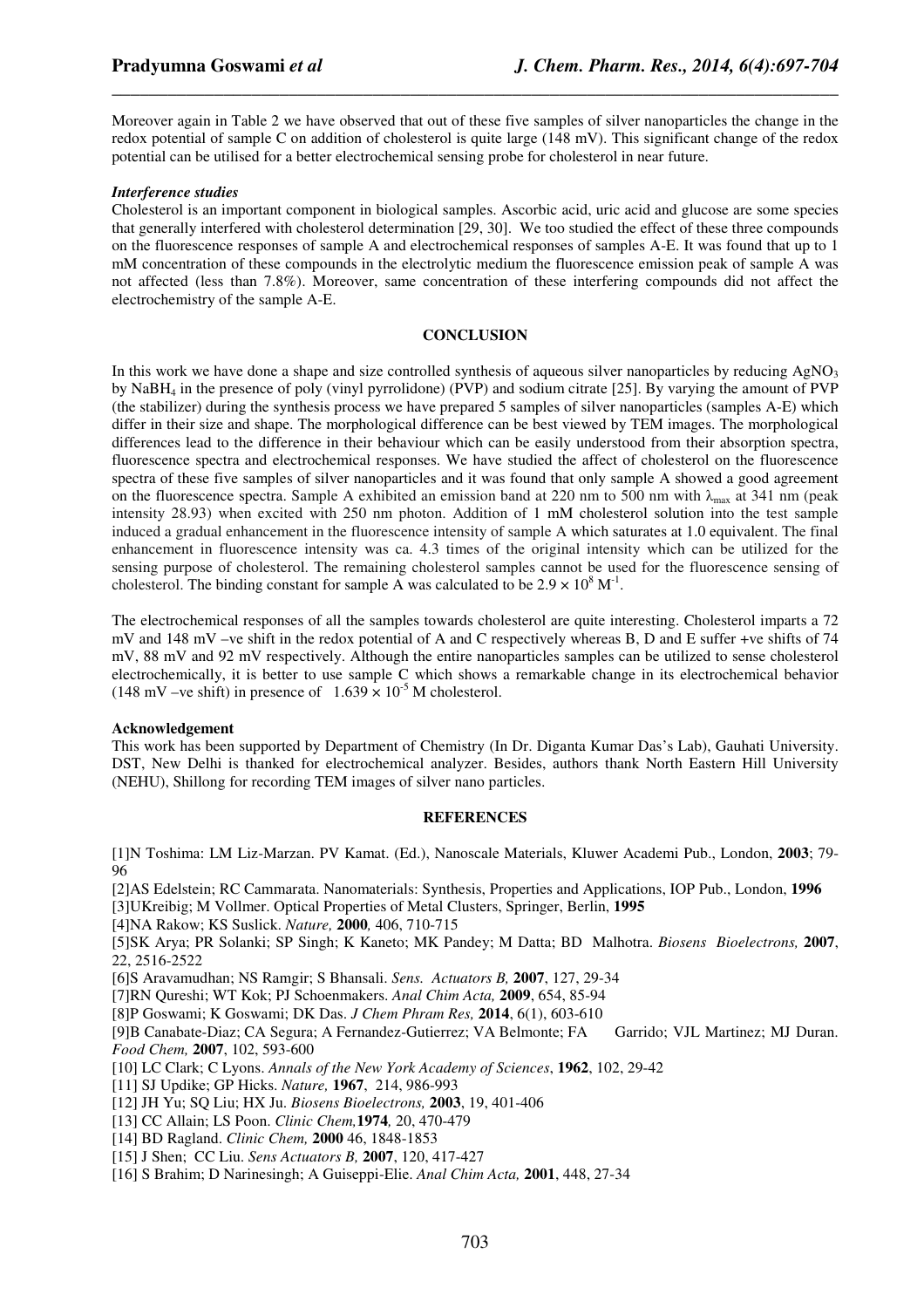Moreover again in Table 2 we have observed that out of these five samples of silver nanoparticles the change in the redox potential of sample C on addition of cholesterol is quite large (148 mV). This significant change of the redox potential can be utilised for a better electrochemical sensing probe for cholesterol in near future.

*\_\_\_\_\_\_\_\_\_\_\_\_\_\_\_\_\_\_\_\_\_\_\_\_\_\_\_\_\_\_\_\_\_\_\_\_\_\_\_\_\_\_\_\_\_\_\_\_\_\_\_\_\_\_\_\_\_\_\_\_\_\_\_\_\_\_\_\_\_\_\_\_\_\_\_\_\_\_*

#### *Interference studies*

Cholesterol is an important component in biological samples. Ascorbic acid, uric acid and glucose are some species that generally interfered with cholesterol determination [29, 30]. We too studied the effect of these three compounds on the fluorescence responses of sample A and electrochemical responses of samples A-E. It was found that up to 1 mM concentration of these compounds in the electrolytic medium the fluorescence emission peak of sample A was not affected (less than 7.8%). Moreover, same concentration of these interfering compounds did not affect the electrochemistry of the sample A-E.

#### **CONCLUSION**

In this work we have done a shape and size controlled synthesis of aqueous silver nanoparticles by reducing  $AgNO<sub>3</sub>$ by NaBH4 in the presence of poly (vinyl pyrrolidone) (PVP) and sodium citrate [25]. By varying the amount of PVP (the stabilizer) during the synthesis process we have prepared 5 samples of silver nanoparticles (samples A-E) which differ in their size and shape. The morphological difference can be best viewed by TEM images. The morphological differences lead to the difference in their behaviour which can be easily understood from their absorption spectra, fluorescence spectra and electrochemical responses. We have studied the affect of cholesterol on the fluorescence spectra of these five samples of silver nanoparticles and it was found that only sample A showed a good agreement on the fluorescence spectra. Sample A exhibited an emission band at 220 nm to 500 nm with  $\lambda_{\text{max}}$  at 341 nm (peak intensity 28.93) when excited with 250 nm photon. Addition of 1 mM cholesterol solution into the test sample induced a gradual enhancement in the fluorescence intensity of sample A which saturates at 1.0 equivalent. The final enhancement in fluorescence intensity was ca. 4.3 times of the original intensity which can be utilized for the sensing purpose of cholesterol. The remaining cholesterol samples cannot be used for the fluorescence sensing of cholesterol. The binding constant for sample A was calculated to be  $2.9 \times 10^8$  M<sup>-1</sup>.

The electrochemical responses of all the samples towards cholesterol are quite interesting. Cholesterol imparts a 72 mV and 148 mV –ve shift in the redox potential of A and C respectively whereas B, D and E suffer +ve shifts of 74 mV, 88 mV and 92 mV respectively. Although the entire nanoparticles samples can be utilized to sense cholesterol electrochemically, it is better to use sample C which shows a remarkable change in its electrochemical behavior (148 mV –ve shift) in presence of  $1.639 \times 10^{-5}$  M cholesterol.

#### **Acknowledgement**

This work has been supported by Department of Chemistry (In Dr. Diganta Kumar Das's Lab), Gauhati University. DST, New Delhi is thanked for electrochemical analyzer. Besides, authors thank North Eastern Hill University (NEHU), Shillong for recording TEM images of silver nano particles.

#### **REFERENCES**

[1]N Toshima: LM Liz-Marzan. PV Kamat. (Ed.), Nanoscale Materials, Kluwer Academi Pub., London, **2003**; 79- 96

[2]AS Edelstein; RC Cammarata. Nanomaterials: Synthesis, Properties and Applications, IOP Pub., London, **1996** [3]UKreibig; M Vollmer. Optical Properties of Metal Clusters, Springer, Berlin, **1995**

[4]NA Rakow; KS Suslick. *Nature,* **2000***,* 406, 710-715

[5]SK Arya; PR Solanki; SP Singh; K Kaneto; MK Pandey; M Datta; BD Malhotra. *Biosens Bioelectrons,* **2007**, 22, 2516-2522

[6]S Aravamudhan; NS Ramgir; S Bhansali. *Sens. Actuators B,* **2007**, 127, 29-34

[7]RN Qureshi; WT Kok; PJ Schoenmakers. *Anal Chim Acta,* **2009**, 654, 85-94

[8]P Goswami; K Goswami; DK Das. *J Chem Phram Res,* **2014**, 6(1), 603-610

[9]B Canabate-Diaz; CA Segura; A Fernandez-Gutierrez; VA Belmonte; FA Garrido; VJL Martinez; MJ Duran. *Food Chem,* **2007**, 102, 593-600

[10] LC Clark; C Lyons. *Annals of the New York Academy of Sciences*, **1962**, 102, 29-42

[11] SJ Updike; GP Hicks. *Nature,* **1967**, 214, 986-993

[12] JH Yu; SQ Liu; HX Ju. *Biosens Bioelectrons,* **2003**, 19, 401-406

- [13] CC Allain; LS Poon. *Clinic Chem,***1974***,* 20, 470-479
- [14] BD Ragland. *Clinic Chem,* **2000** 46, 1848-1853
- [15] J Shen; CC Liu. *Sens Actuators B,* **2007**, 120, 417-427
- [16] S Brahim; D Narinesingh; A Guiseppi-Elie. *Anal Chim Acta,* **2001**, 448, 27- 34